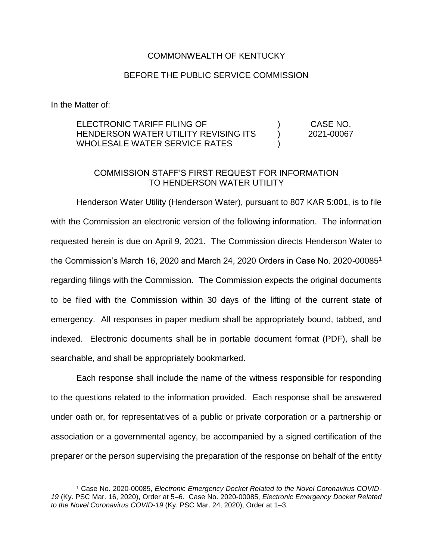### COMMONWEALTH OF KENTUCKY

### BEFORE THE PUBLIC SERVICE COMMISSION

In the Matter of:

 $\overline{a}$ 

ELECTRONIC TARIFF FILING OF HENDERSON WATER UTILITY REVISING ITS WHOLESALE WATER SERVICE RATES )  $\lambda$ ) CASE NO. 2021-00067

### COMMISSION STAFF'S FIRST REQUEST FOR INFORMATION TO HENDERSON WATER UTILITY

Henderson Water Utility (Henderson Water), pursuant to 807 KAR 5:001, is to file with the Commission an electronic version of the following information. The information requested herein is due on April 9, 2021. The Commission directs Henderson Water to the Commission's March 16, 2020 and March 24, 2020 Orders in Case No. 2020-00085<sup>1</sup> regarding filings with the Commission. The Commission expects the original documents to be filed with the Commission within 30 days of the lifting of the current state of emergency. All responses in paper medium shall be appropriately bound, tabbed, and indexed. Electronic documents shall be in portable document format (PDF), shall be searchable, and shall be appropriately bookmarked.

Each response shall include the name of the witness responsible for responding to the questions related to the information provided. Each response shall be answered under oath or, for representatives of a public or private corporation or a partnership or association or a governmental agency, be accompanied by a signed certification of the preparer or the person supervising the preparation of the response on behalf of the entity

<sup>1</sup> Case No. 2020-00085, *Electronic Emergency Docket Related to the Novel Coronavirus COVID-19* (Ky. PSC Mar. 16, 2020), Order at 5–6. Case No. 2020-00085, *Electronic Emergency Docket Related to the Novel Coronavirus COVID-19* (Ky. PSC Mar. 24, 2020), Order at 1–3.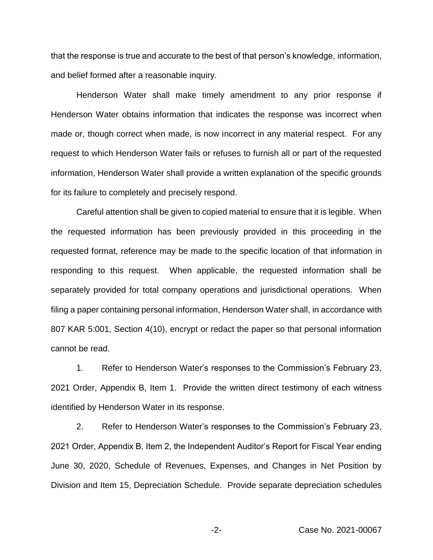that the response is true and accurate to the best of that person's knowledge, information, and belief formed after a reasonable inquiry.

Henderson Water shall make timely amendment to any prior response if Henderson Water obtains information that indicates the response was incorrect when made or, though correct when made, is now incorrect in any material respect. For any request to which Henderson Water fails or refuses to furnish all or part of the requested information, Henderson Water shall provide a written explanation of the specific grounds for its failure to completely and precisely respond.

Careful attention shall be given to copied material to ensure that it is legible. When the requested information has been previously provided in this proceeding in the requested format, reference may be made to the specific location of that information in responding to this request. When applicable, the requested information shall be separately provided for total company operations and jurisdictional operations. When filing a paper containing personal information, Henderson Water shall, in accordance with 807 KAR 5:001, Section 4(10), encrypt or redact the paper so that personal information cannot be read.

1. Refer to Henderson Water's responses to the Commission's February 23, 2021 Order, Appendix B, Item 1. Provide the written direct testimony of each witness identified by Henderson Water in its response.

2. Refer to Henderson Water's responses to the Commission's February 23, 2021 Order, Appendix B, Item 2, the Independent Auditor's Report for Fiscal Year ending June 30, 2020, Schedule of Revenues, Expenses, and Changes in Net Position by Division and Item 15, Depreciation Schedule. Provide separate depreciation schedules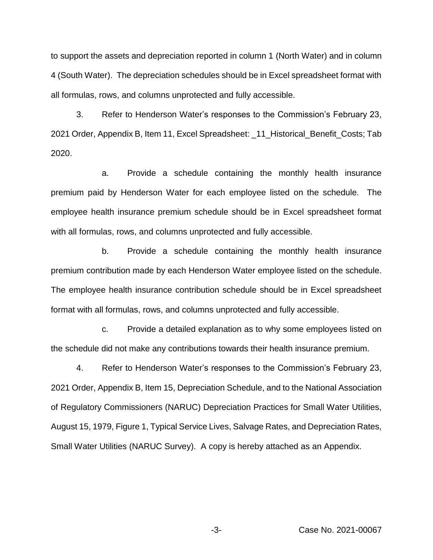to support the assets and depreciation reported in column 1 (North Water) and in column 4 (South Water). The depreciation schedules should be in Excel spreadsheet format with all formulas, rows, and columns unprotected and fully accessible.

3. Refer to Henderson Water's responses to the Commission's February 23, 2021 Order, Appendix B, Item 11, Excel Spreadsheet: \_ 11 Historical Benefit Costs; Tab 2020.

a. Provide a schedule containing the monthly health insurance premium paid by Henderson Water for each employee listed on the schedule. The employee health insurance premium schedule should be in Excel spreadsheet format with all formulas, rows, and columns unprotected and fully accessible.

b. Provide a schedule containing the monthly health insurance premium contribution made by each Henderson Water employee listed on the schedule. The employee health insurance contribution schedule should be in Excel spreadsheet format with all formulas, rows, and columns unprotected and fully accessible.

c. Provide a detailed explanation as to why some employees listed on the schedule did not make any contributions towards their health insurance premium.

4. Refer to Henderson Water's responses to the Commission's February 23, 2021 Order, Appendix B, Item 15, Depreciation Schedule, and to the National Association of Regulatory Commissioners (NARUC) Depreciation Practices for Small Water Utilities, August 15, 1979, Figure 1, Typical Service Lives, Salvage Rates, and Depreciation Rates, Small Water Utilities (NARUC Survey). A copy is hereby attached as an Appendix.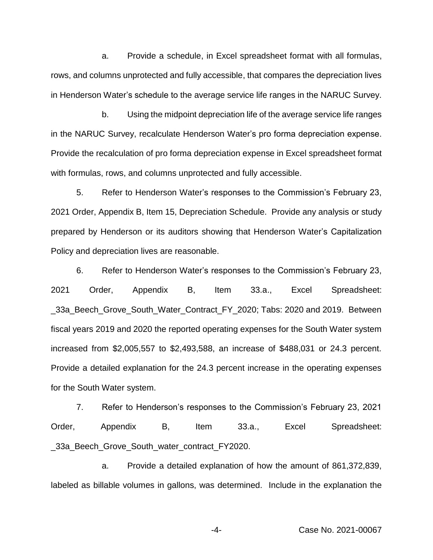a. Provide a schedule, in Excel spreadsheet format with all formulas, rows, and columns unprotected and fully accessible, that compares the depreciation lives in Henderson Water's schedule to the average service life ranges in the NARUC Survey.

b. Using the midpoint depreciation life of the average service life ranges in the NARUC Survey, recalculate Henderson Water's pro forma depreciation expense. Provide the recalculation of pro forma depreciation expense in Excel spreadsheet format with formulas, rows, and columns unprotected and fully accessible.

5. Refer to Henderson Water's responses to the Commission's February 23, 2021 Order, Appendix B, Item 15, Depreciation Schedule. Provide any analysis or study prepared by Henderson or its auditors showing that Henderson Water's Capitalization Policy and depreciation lives are reasonable.

6. Refer to Henderson Water's responses to the Commission's February 23, 2021 Order, Appendix B, Item 33.a., Excel Spreadsheet: \_33a\_Beech\_Grove\_South\_Water\_Contract\_FY\_2020; Tabs: 2020 and 2019. Between fiscal years 2019 and 2020 the reported operating expenses for the South Water system increased from \$2,005,557 to \$2,493,588, an increase of \$488,031 or 24.3 percent. Provide a detailed explanation for the 24.3 percent increase in the operating expenses for the South Water system.

7. Refer to Henderson's responses to the Commission's February 23, 2021 Order, Appendix B, Item 33.a., Excel Spreadsheet: \_33a\_Beech\_Grove\_South\_water\_contract\_FY2020.

a. Provide a detailed explanation of how the amount of 861,372,839, labeled as billable volumes in gallons, was determined. Include in the explanation the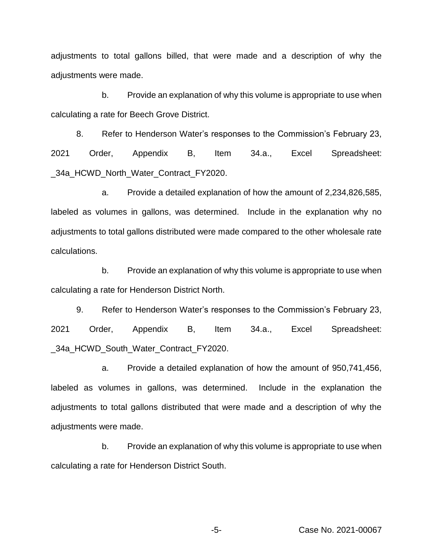adjustments to total gallons billed, that were made and a description of why the adjustments were made.

b. Provide an explanation of why this volume is appropriate to use when calculating a rate for Beech Grove District.

8. Refer to Henderson Water's responses to the Commission's February 23, 2021 Order, Appendix B, Item 34.a., Excel Spreadsheet: \_34a\_HCWD\_North\_Water\_Contract\_FY2020.

a. Provide a detailed explanation of how the amount of 2,234,826,585, labeled as volumes in gallons, was determined. Include in the explanation why no adjustments to total gallons distributed were made compared to the other wholesale rate calculations.

b. Provide an explanation of why this volume is appropriate to use when calculating a rate for Henderson District North.

9. Refer to Henderson Water's responses to the Commission's February 23, 2021 Order, Appendix B, Item 34.a., Excel Spreadsheet: \_34a\_HCWD\_South\_Water\_Contract\_FY2020.

a. Provide a detailed explanation of how the amount of 950,741,456, labeled as volumes in gallons, was determined. Include in the explanation the adjustments to total gallons distributed that were made and a description of why the adjustments were made.

b. Provide an explanation of why this volume is appropriate to use when calculating a rate for Henderson District South.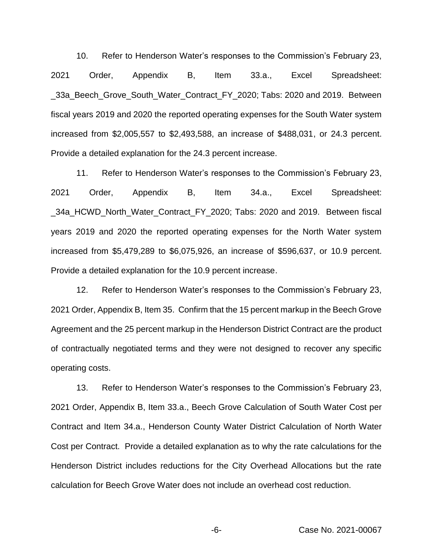10. Refer to Henderson Water's responses to the Commission's February 23, 2021 Order, Appendix B, Item 33.a., Excel Spreadsheet: \_33a\_Beech\_Grove\_South\_Water\_Contract\_FY\_2020; Tabs: 2020 and 2019. Between fiscal years 2019 and 2020 the reported operating expenses for the South Water system increased from \$2,005,557 to \$2,493,588, an increase of \$488,031, or 24.3 percent. Provide a detailed explanation for the 24.3 percent increase.

11. Refer to Henderson Water's responses to the Commission's February 23, 2021 Order, Appendix B, Item 34.a., Excel Spreadsheet: \_34a\_HCWD\_North\_Water\_Contract\_FY\_2020; Tabs: 2020 and 2019. Between fiscal years 2019 and 2020 the reported operating expenses for the North Water system increased from \$5,479,289 to \$6,075,926, an increase of \$596,637, or 10.9 percent. Provide a detailed explanation for the 10.9 percent increase.

12. Refer to Henderson Water's responses to the Commission's February 23, 2021 Order, Appendix B, Item 35. Confirm that the 15 percent markup in the Beech Grove Agreement and the 25 percent markup in the Henderson District Contract are the product of contractually negotiated terms and they were not designed to recover any specific operating costs.

13. Refer to Henderson Water's responses to the Commission's February 23, 2021 Order, Appendix B, Item 33.a., Beech Grove Calculation of South Water Cost per Contract and Item 34.a., Henderson County Water District Calculation of North Water Cost per Contract. Provide a detailed explanation as to why the rate calculations for the Henderson District includes reductions for the City Overhead Allocations but the rate calculation for Beech Grove Water does not include an overhead cost reduction.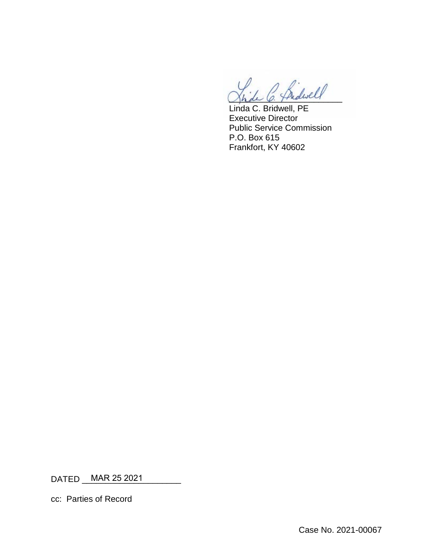\_\_\_\_\_\_\_\_\_\_\_\_\_\_\_\_\_\_\_\_\_\_\_\_

Linda C. Bridwell, PE Executive Director Public Service Commission P.O. Box 615 Frankfort, KY 40602

DATED \_\_\_\_\_\_\_\_\_\_\_\_\_\_\_\_\_\_\_\_\_ MAR 25 2021

cc: Parties of Record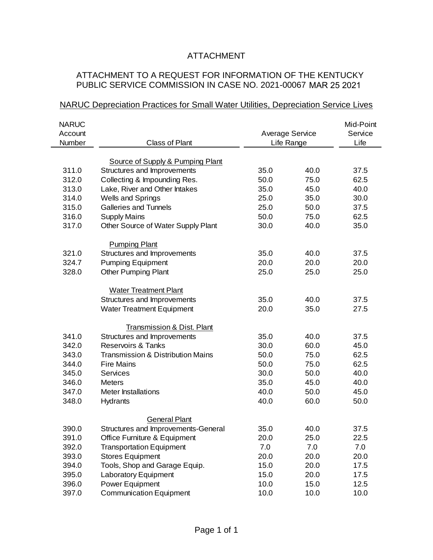# ATTACHMENT

# ATTACHMENT TO A REQUEST FOR INFORMATION OF THE KENTUCKY PUBLIC SERVICE COMMISSION IN CASE NO. 2021-00067 MAR 25 2021

## NARUC Depreciation Practices for Small Water Utilities, Depreciation Service Lives

| <b>NARUC</b> |                                     |                        |      | Mid-Point |
|--------------|-------------------------------------|------------------------|------|-----------|
| Account      |                                     | <b>Average Service</b> |      | Service   |
| Number       | <b>Class of Plant</b>               | Life Range             |      | Life      |
|              |                                     |                        |      |           |
|              | Source of Supply & Pumping Plant    |                        |      |           |
| 311.0        | Structures and Improvements         | 35.0                   | 40.0 | 37.5      |
| 312.0        | Collecting & Impounding Res.        | 50.0                   | 75.0 | 62.5      |
| 313.0        | Lake, River and Other Intakes       | 35.0                   | 45.0 | 40.0      |
| 314.0        | <b>Wells and Springs</b>            | 25.0                   | 35.0 | 30.0      |
| 315.0        | <b>Galleries and Tunnels</b>        | 25.0                   | 50.0 | 37.5      |
| 316.0        | <b>Supply Mains</b>                 | 50.0                   | 75.0 | 62.5      |
| 317.0        | Other Source of Water Supply Plant  | 30.0                   | 40.0 | 35.0      |
|              | <b>Pumping Plant</b>                |                        |      |           |
| 321.0        | Structures and Improvements         | 35.0                   | 40.0 | 37.5      |
| 324.7        | <b>Pumping Equipment</b>            | 20.0                   | 20.0 | 20.0      |
| 328.0        | <b>Other Pumping Plant</b>          | 25.0                   | 25.0 | 25.0      |
|              |                                     |                        |      |           |
|              | <b>Water Treatment Plant</b>        |                        |      |           |
|              | Structures and Improvements         | 35.0                   | 40.0 | 37.5      |
|              | <b>Water Treatment Equipment</b>    | 20.0                   | 35.0 | 27.5      |
|              | Transmission & Dist. Plant          |                        |      |           |
| 341.0        | Structures and Improvements         | 35.0                   | 40.0 | 37.5      |
| 342.0        | <b>Reservoirs &amp; Tanks</b>       | 30.0                   | 60.0 | 45.0      |
| 343.0        | Transmission & Distribution Mains   | 50.0                   | 75.0 | 62.5      |
| 344.0        | <b>Fire Mains</b>                   | 50.0                   | 75.0 | 62.5      |
| 345.0        | Services                            | 30.0                   | 50.0 | 40.0      |
| 346.0        | <b>Meters</b>                       | 35.0                   | 45.0 | 40.0      |
| 347.0        | <b>Meter Installations</b>          | 40.0                   | 50.0 | 45.0      |
| 348.0        | Hydrants                            | 40.0                   | 60.0 | 50.0      |
|              |                                     |                        |      |           |
|              | <b>General Plant</b>                |                        |      |           |
| 390.0        | Structures and Improvements-General | 35.0                   | 40.0 | 37.5      |
| 391.0        | Office Furniture & Equipment        | 20.0                   | 25.0 | 22.5      |
| 392.0        | <b>Transportation Equipment</b>     | 7.0                    | 7.0  | 7.0       |
| 393.0        | <b>Stores Equipment</b>             | 20.0                   | 20.0 | 20.0      |
| 394.0        | Tools, Shop and Garage Equip.       | 15.0                   | 20.0 | 17.5      |
| 395.0        | <b>Laboratory Equipment</b>         | 15.0                   | 20.0 | 17.5      |
| 396.0        | Power Equipment                     | 10.0                   | 15.0 | 12.5      |
| 397.0        | <b>Communication Equipment</b>      | 10.0                   | 10.0 | 10.0      |
|              |                                     |                        |      |           |